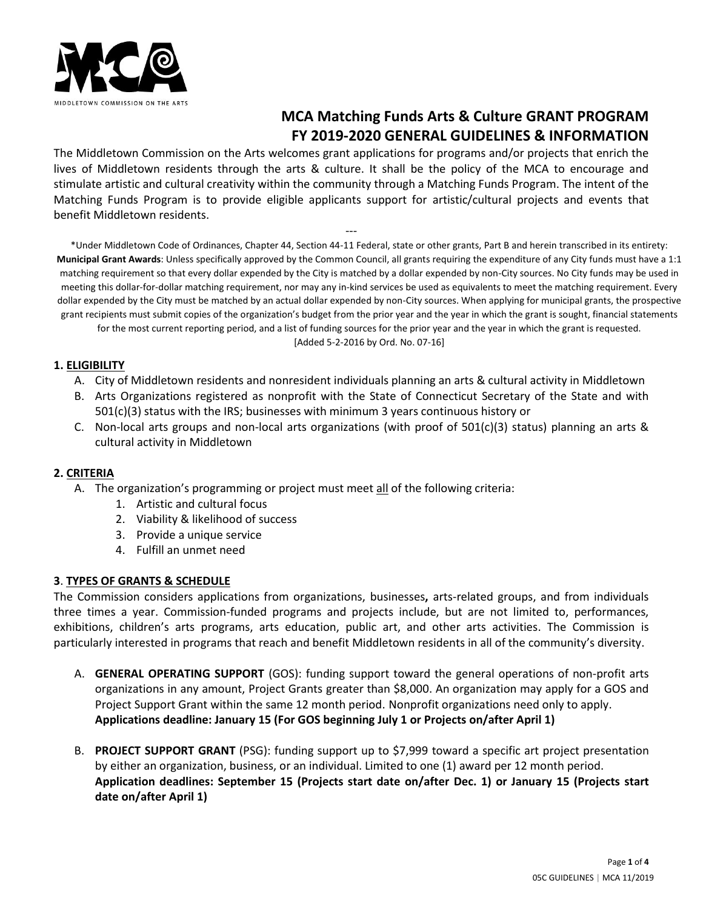

# **MCA Matching Funds Arts & Culture GRANT PROGRAM FY 2019-2020 GENERAL GUIDELINES & INFORMATION**

The Middletown Commission on the Arts welcomes grant applications for programs and/or projects that enrich the lives of Middletown residents through the arts & culture. It shall be the policy of the MCA to encourage and stimulate artistic and cultural creativity within the community through a Matching Funds Program. The intent of the Matching Funds Program is to provide eligible applicants support for artistic/cultural projects and events that benefit Middletown residents.

--- \*Under Middletown Code of Ordinances, Chapter 44, Section 44-11 Federal, state or other grants, Part B and herein transcribed in its entirety: **Municipal Grant Awards**: Unless specifically approved by the Common Council, all grants requiring the expenditure of any City funds must have a 1:1 matching requirement so that every dollar expended by the City is matched by a dollar expended by non-City sources. No City funds may be used in meeting this dollar-for-dollar matching requirement, nor may any in-kind services be used as equivalents to meet the matching requirement. Every dollar expended by the City must be matched by an actual dollar expended by non-City sources. When applying for municipal grants, the prospective grant recipients must submit copies of the organization's budget from the prior year and the year in which the grant is sought, financial statements for the most current reporting period, and a list of funding sources for the prior year and the year in which the grant is requested.

[Added 5-2-2016 by Ord. No. 07-16]

# **1. ELIGIBILITY**

- A. City of Middletown residents and nonresident individuals planning an arts & cultural activity in Middletown
- B. Arts Organizations registered as nonprofit with the State of Connecticut Secretary of the State and with 501(c)(3) status with the IRS; businesses with minimum 3 years continuous history or
- C. Non-local arts groups and non-local arts organizations (with proof of 501(c)(3) status) planning an arts & cultural activity in Middletown

# **2. CRITERIA**

- A. The organization's programming or project must meet all of the following criteria:
	- 1. Artistic and cultural focus
	- 2. Viability & likelihood of success
	- 3. Provide a unique service
	- 4. Fulfill an unmet need

### **3**. **TYPES OF GRANTS & SCHEDULE**

The Commission considers applications from organizations, businesses**,** arts-related groups, and from individuals three times a year. Commission-funded programs and projects include, but are not limited to, performances, exhibitions, children's arts programs, arts education, public art, and other arts activities. The Commission is particularly interested in programs that reach and benefit Middletown residents in all of the community's diversity.

- A. **GENERAL OPERATING SUPPORT** (GOS): funding support toward the general operations of non-profit arts organizations in any amount, Project Grants greater than \$8,000. An organization may apply for a GOS and Project Support Grant within the same 12 month period. Nonprofit organizations need only to apply. **Applications deadline: January 15 (For GOS beginning July 1 or Projects on/after April 1)**
- B. **PROJECT SUPPORT GRANT** (PSG): funding support up to \$7,999 toward a specific art project presentation by either an organization, business, or an individual. Limited to one (1) award per 12 month period. **Application deadlines: September 15 (Projects start date on/after Dec. 1) or January 15 (Projects start date on/after April 1)**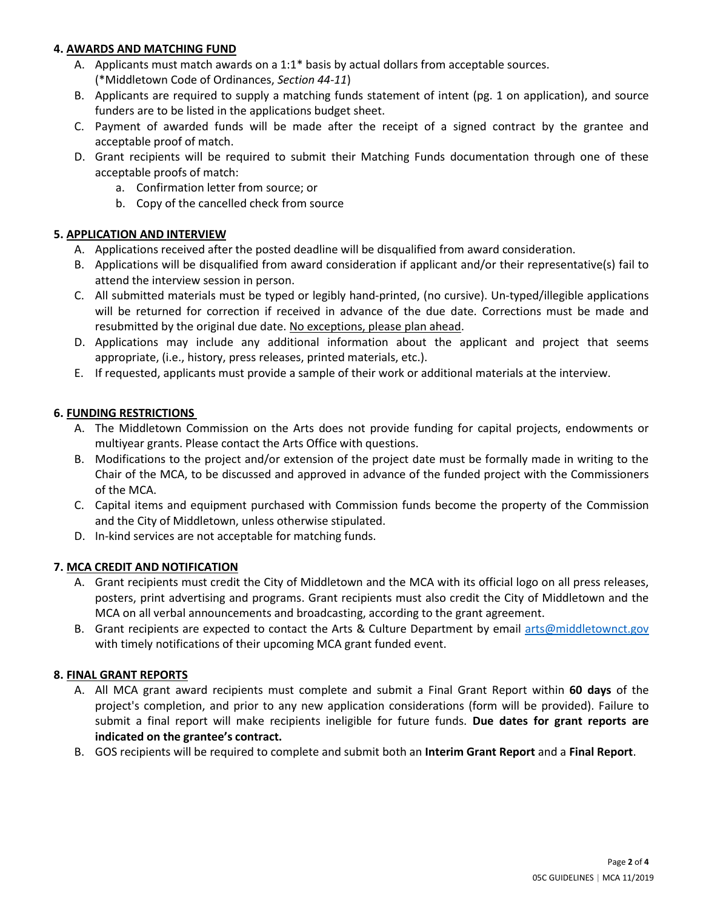# **4. AWARDS AND MATCHING FUND**

- A. Applicants must match awards on a 1:1\* basis by actual dollars from acceptable sources. (\*Middletown Code of Ordinances, *Section 44-11*)
- B. Applicants are required to supply a matching funds statement of intent (pg. 1 on application), and source funders are to be listed in the applications budget sheet.
- C. Payment of awarded funds will be made after the receipt of a signed contract by the grantee and acceptable proof of match.
- D. Grant recipients will be required to submit their Matching Funds documentation through one of these acceptable proofs of match:
	- a. Confirmation letter from source; or
	- b. Copy of the cancelled check from source

# **5. APPLICATION AND INTERVIEW**

- A. Applications received after the posted deadline will be disqualified from award consideration.
- B. Applications will be disqualified from award consideration if applicant and/or their representative(s) fail to attend the interview session in person.
- C. All submitted materials must be typed or legibly hand-printed, (no cursive). Un-typed/illegible applications will be returned for correction if received in advance of the due date. Corrections must be made and resubmitted by the original due date. No exceptions, please plan ahead.
- D. Applications may include any additional information about the applicant and project that seems appropriate, (i.e., history, press releases, printed materials, etc.).
- E. If requested, applicants must provide a sample of their work or additional materials at the interview.

# **6. FUNDING RESTRICTIONS**

- A. The Middletown Commission on the Arts does not provide funding for capital projects, endowments or multiyear grants. Please contact the Arts Office with questions.
- B. Modifications to the project and/or extension of the project date must be formally made in writing to the Chair of the MCA, to be discussed and approved in advance of the funded project with the Commissioners of the MCA.
- C. Capital items and equipment purchased with Commission funds become the property of the Commission and the City of Middletown, unless otherwise stipulated.
- D. In-kind services are not acceptable for matching funds.

# **7. MCA CREDIT AND NOTIFICATION**

- A. Grant recipients must credit the City of Middletown and the MCA with its official logo on all press releases, posters, print advertising and programs. Grant recipients must also credit the City of Middletown and the MCA on all verbal announcements and broadcasting, according to the grant agreement.
- B. Grant recipients are expected to contact the Arts & Culture Department by email [arts@middletownct.gov](mailto:arts@middletownct.gov) with timely notifications of their upcoming MCA grant funded event.

### **8. FINAL GRANT REPORTS**

- A. All MCA grant award recipients must complete and submit a Final Grant Report within **60 days** of the project's completion, and prior to any new application considerations (form will be provided). Failure to submit a final report will make recipients ineligible for future funds. **Due dates for grant reports are indicated on the grantee's contract.**
- B. GOS recipients will be required to complete and submit both an **Interim Grant Report** and a **Final Report**.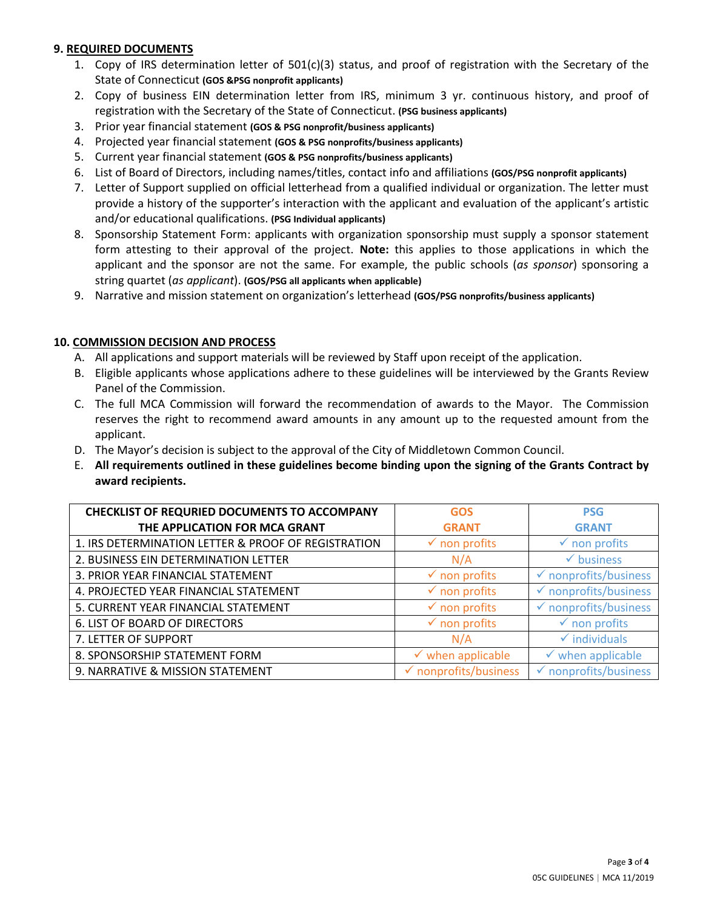## **9. REQUIRED DOCUMENTS**

- 1. Copy of IRS determination letter of 501(c)(3) status, and proof of registration with the Secretary of the State of Connecticut **(GOS &PSG nonprofit applicants)**
- 2. Copy of business EIN determination letter from IRS, minimum 3 yr. continuous history, and proof of registration with the Secretary of the State of Connecticut. **(PSG business applicants)**
- 3. Prior year financial statement **(GOS & PSG nonprofit/business applicants)**
- 4. Projected year financial statement **(GOS & PSG nonprofits/business applicants)**
- 5. Current year financial statement **(GOS & PSG nonprofits/business applicants)**
- 6. List of Board of Directors, including names/titles, contact info and affiliations **(GOS/PSG nonprofit applicants)**
- 7. Letter of Support supplied on official letterhead from a qualified individual or organization. The letter must provide a history of the supporter's interaction with the applicant and evaluation of the applicant's artistic and/or educational qualifications. **(PSG Individual applicants)**
- 8. Sponsorship Statement Form: applicants with organization sponsorship must supply a sponsor statement form attesting to their approval of the project. **Note:** this applies to those applications in which the applicant and the sponsor are not the same. For example, the public schools (*as sponsor*) sponsoring a string quartet (*as applicant*). **(GOS/PSG all applicants when applicable)**
- 9. Narrative and mission statement on organization's letterhead **(GOS/PSG nonprofits/business applicants)**

## **10. COMMISSION DECISION AND PROCESS**

- A. All applications and support materials will be reviewed by Staff upon receipt of the application.
- B. Eligible applicants whose applications adhere to these guidelines will be interviewed by the Grants Review Panel of the Commission.
- C. The full MCA Commission will forward the recommendation of awards to the Mayor. The Commission reserves the right to recommend award amounts in any amount up to the requested amount from the applicant.
- D. The Mayor's decision is subject to the approval of the City of Middletown Common Council.
- E. **All requirements outlined in these guidelines become binding upon the signing of the Grants Contract by award recipients.**

| <b>CHECKLIST OF REQURIED DOCUMENTS TO ACCOMPANY</b> | <b>GOS</b>                       | <b>PSG</b>                       |
|-----------------------------------------------------|----------------------------------|----------------------------------|
| THE APPLICATION FOR MCA GRANT                       | <b>GRANT</b>                     | <b>GRANT</b>                     |
| 1. IRS DETERMINATION LETTER & PROOF OF REGISTRATION | $\checkmark$ non profits         | $\checkmark$ non profits         |
| 2. BUSINESS EIN DETERMINATION LETTER                | N/A                              | $\checkmark$ business            |
| 3. PRIOR YEAR FINANCIAL STATEMENT                   | $\checkmark$ non profits         | $\checkmark$ nonprofits/business |
| 4. PROJECTED YEAR FINANCIAL STATEMENT               | $\checkmark$ non profits         | $\checkmark$ nonprofits/business |
| 5. CURRENT YEAR FINANCIAL STATEMENT                 | $\checkmark$ non profits         | $\checkmark$ nonprofits/business |
| 6. LIST OF BOARD OF DIRECTORS                       | $\checkmark$ non profits         | $\checkmark$ non profits         |
| 7. LETTER OF SUPPORT                                | N/A                              | $\checkmark$ individuals         |
| 8. SPONSORSHIP STATEMENT FORM                       | $\checkmark$ when applicable     | $\checkmark$ when applicable     |
| 9. NARRATIVE & MISSION STATEMENT                    | $\checkmark$ nonprofits/business | $\checkmark$ nonprofits/business |